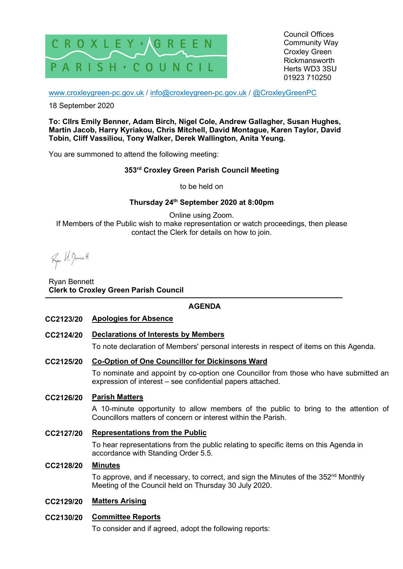

Council Offices Community Way Croxley Green Rickmansworth Herts WD3 3SU 01923 710250

www.croxleygreen-pc.gov.uk / info@croxleygreen-pc.gov.uk / @CroxleyGreenPC

18 September 2020

**To: Cllrs Emily Benner, Adam Birch, Nigel Cole, Andrew Gallagher, Susan Hughes, Martin Jacob, Harry Kyriakou, Chris Mitchell, David Montague, Karen Taylor, David Tobin, Cliff Vassiliou, Tony Walker, Derek Wallington, Anita Yeung.** 

You are summoned to attend the following meeting:

# **353rd Croxley Green Parish Council Meeting**

to be held on

# **Thursday 24th September 2020 at 8:00pm**

Online using Zoom. If Members of the Public wish to make representation or watch proceedings, then please contact the Clerk for details on how to join.

Ryon H. Bennett

Ryan Bennett **Clerk to Croxley Green Parish Council** 

# **AGENDA**

- **CC2123/20 Apologies for Absence**
- **CC2124/20 Declarations of Interests by Members**

To note declaration of Members' personal interests in respect of items on this Agenda.

**CC2125/20 Co-Option of One Councillor for Dickinsons Ward** 

To nominate and appoint by co-option one Councillor from those who have submitted an expression of interest – see confidential papers attached.

### **CC2126/20 Parish Matters**

A 10-minute opportunity to allow members of the public to bring to the attention of Councillors matters of concern or interest within the Parish.

## **CC2127/20 Representations from the Public**

To hear representations from the public relating to specific items on this Agenda in accordance with Standing Order 5.5.

### **CC2128/20 Minutes**

To approve, and if necessary, to correct, and sign the Minutes of the 352<sup>nd</sup> Monthly Meeting of the Council held on Thursday 30 July 2020.

# **CC2129/20 Matters Arising**

# **CC2130/20 Committee Reports**

To consider and if agreed, adopt the following reports: